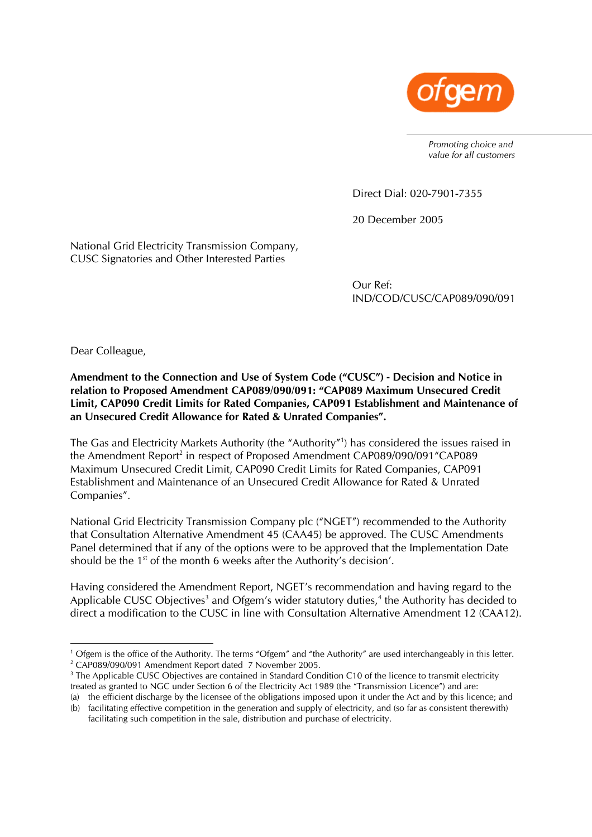

*Promoting choice and value for all customers* 

Direct Dial: 020-7901-7355

20 December 2005

National Grid Electricity Transmission Company, CUSC Signatories and Other Interested Parties

> Our Ref: IND/COD/CUSC/CAP089/090/091

Dear Colleague,

**Amendment to the Connection and Use of System Code ("CUSC") - Decision and Notice in relation to Proposed Amendment CAP089/090/091: "CAP089 Maximum Unsecured Credit Limit, CAP090 Credit Limits for Rated Companies, CAP091 Establishment and Maintenance of an Unsecured Credit Allowance for Rated & Unrated Companies".** 

The Gas and Electricity Markets Authority (the "Authority"[1](#page-0-0) ) has considered the issues raised in the Amendment Report<sup>2</sup> in respect of Proposed Amendment CAP089/090/091"CAP089 Maximum Unsecured Credit Limit, CAP090 Credit Limits for Rated Companies, CAP091 Establishment and Maintenance of an Unsecured Credit Allowance for Rated & Unrated Companies".

National Grid Electricity Transmission Company plc ("NGET") recommended to the Authority that Consultation Alternative Amendment 45 (CAA45) be approved. The CUSC Amendments Panel determined that if any of the options were to be approved that the Implementation Date should be the 1<sup>st</sup> of the month 6 weeks after the Authority's decision'.

Having considered the Amendment Report, NGET's recommendation and having regard to the Applicable CUSC Objectives<sup>3</sup> and Ofgem's wider statutory duties,<sup>[4](#page-0-3)</sup> the Authority has decided to direct a modification to the CUSC in line with Consultation Alternative Amendment 12 (CAA12).

<span id="page-0-0"></span> $\frac{1}{1}$  $1$  Ofgem is the office of the Authority. The terms "Ofgem" and "the Authority" are used interchangeably in this letter. <sup>2</sup> CAP089/090/091 Amendment Report dated 7 November 2005.

<span id="page-0-3"></span><span id="page-0-2"></span><span id="page-0-1"></span><sup>&</sup>lt;sup>3</sup> The Applicable CUSC Objectives are contained in Standard Condition C10 of the licence to transmit electricity treated as granted to NGC under Section 6 of the Electricity Act 1989 (the "Transmission Licence") and are: (a) the efficient discharge by the licensee of the obligations imposed upon it under the Act and by this licence; and

<sup>(</sup>b) facilitating effective competition in the generation and supply of electricity, and (so far as consistent therewith) facilitating such competition in the sale, distribution and purchase of electricity.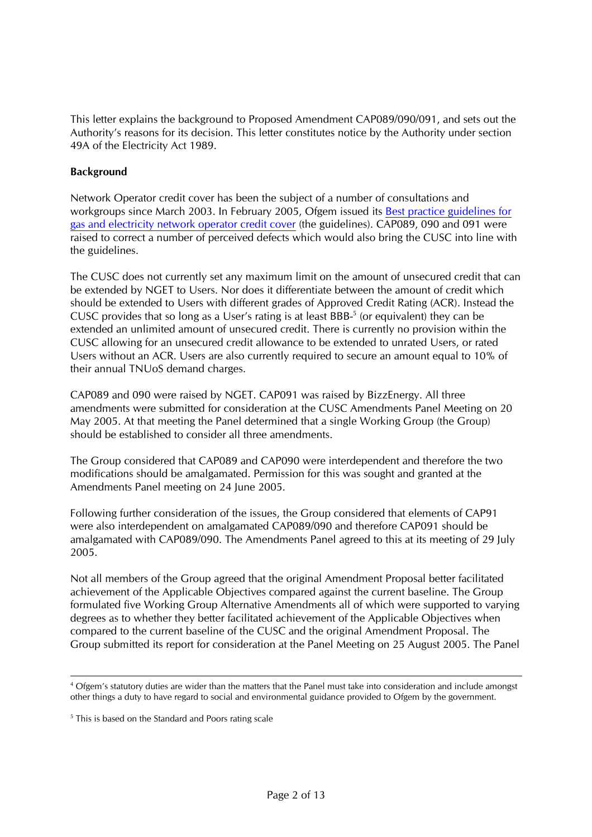This letter explains the background to Proposed Amendment CAP089/090/091, and sets out the Authority's reasons for its decision. This letter constitutes notice by the Authority under section 49A of the Electricity Act 1989.

### **Background**

Network Operator credit cover has been the subject of a number of consultations and workgroups since March 2003. In February 2005, Ofgem issued its [Best practice guidelines for](http://www.ofgem.gov.uk/temp/ofgem/cache/cmsattach/10370_5805.pdf?wtfrom=/ofgem/work/index.jsp§ion=/areasofwork/creditcover)  [gas and electricity network operator credit cover](http://www.ofgem.gov.uk/temp/ofgem/cache/cmsattach/10370_5805.pdf?wtfrom=/ofgem/work/index.jsp§ion=/areasofwork/creditcover) (the guidelines). CAP089, 090 and 091 were raised to correct a number of perceived defects which would also bring the CUSC into line with the guidelines.

The CUSC does not currently set any maximum limit on the amount of unsecured credit that can be extended by NGET to Users. Nor does it differentiate between the amount of credit which should be extended to Users with different grades of Approved Credit Rating (ACR). Instead the CUSC provides that so long as a User's rating is at least BBB $<sup>5</sup>$  $<sup>5</sup>$  $<sup>5</sup>$  (or equivalent) they can be</sup> extended an unlimited amount of unsecured credit. There is currently no provision within the CUSC allowing for an unsecured credit allowance to be extended to unrated Users, or rated Users without an ACR. Users are also currently required to secure an amount equal to 10% of their annual TNUoS demand charges.

CAP089 and 090 were raised by NGET. CAP091 was raised by BizzEnergy. All three amendments were submitted for consideration at the CUSC Amendments Panel Meeting on 20 May 2005. At that meeting the Panel determined that a single Working Group (the Group) should be established to consider all three amendments.

The Group considered that CAP089 and CAP090 were interdependent and therefore the two modifications should be amalgamated. Permission for this was sought and granted at the Amendments Panel meeting on 24 June 2005.

Following further consideration of the issues, the Group considered that elements of CAP91 were also interdependent on amalgamated CAP089/090 and therefore CAP091 should be amalgamated with CAP089/090. The Amendments Panel agreed to this at its meeting of 29 July 2005.

Not all members of the Group agreed that the original Amendment Proposal better facilitated achievement of the Applicable Objectives compared against the current baseline. The Group formulated five Working Group Alternative Amendments all of which were supported to varying degrees as to whether they better facilitated achievement of the Applicable Objectives when compared to the current baseline of the CUSC and the original Amendment Proposal. The Group submitted its report for consideration at the Panel Meeting on 25 August 2005. The Panel

 $\frac{1}{4}$  Ofgem's statutory duties are wider than the matters that the Panel must take into consideration and include amongst other things a duty to have regard to social and environmental guidance provided to Ofgem by the government.

<span id="page-1-0"></span><sup>&</sup>lt;sup>5</sup> This is based on the Standard and Poors rating scale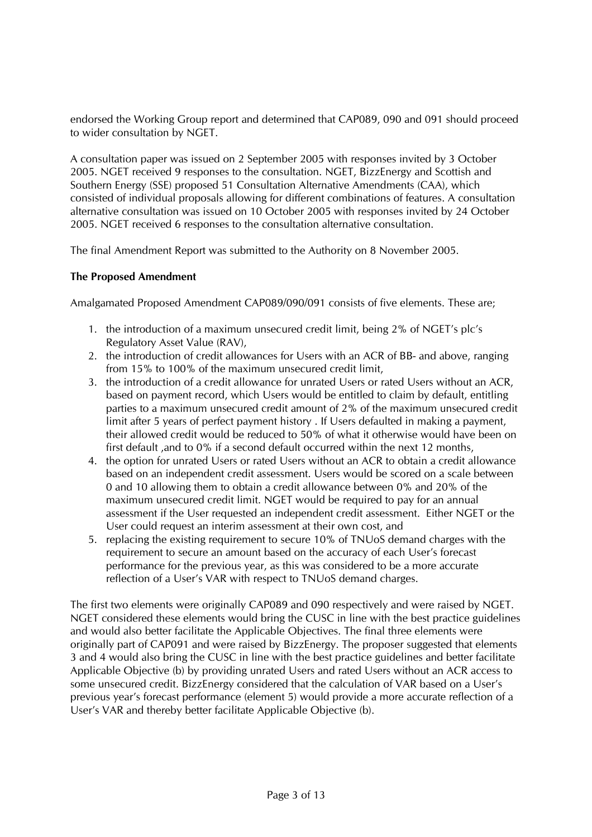endorsed the Working Group report and determined that CAP089, 090 and 091 should proceed to wider consultation by NGET.

A consultation paper was issued on 2 September 2005 with responses invited by 3 October 2005. NGET received 9 responses to the consultation. NGET, BizzEnergy and Scottish and Southern Energy (SSE) proposed 51 Consultation Alternative Amendments (CAA), which consisted of individual proposals allowing for different combinations of features. A consultation alternative consultation was issued on 10 October 2005 with responses invited by 24 October 2005. NGET received 6 responses to the consultation alternative consultation.

The final Amendment Report was submitted to the Authority on 8 November 2005.

### **The Proposed Amendment**

Amalgamated Proposed Amendment CAP089/090/091 consists of five elements. These are;

- 1. the introduction of a maximum unsecured credit limit, being 2% of NGET's plc's Regulatory Asset Value (RAV),
- 2. the introduction of credit allowances for Users with an ACR of BB- and above, ranging from 15% to 100% of the maximum unsecured credit limit,
- 3. the introduction of a credit allowance for unrated Users or rated Users without an ACR, based on payment record, which Users would be entitled to claim by default, entitling parties to a maximum unsecured credit amount of 2% of the maximum unsecured credit limit after 5 years of perfect payment history . If Users defaulted in making a payment, their allowed credit would be reduced to 50% of what it otherwise would have been on first default ,and to 0% if a second default occurred within the next 12 months,
- 4. the option for unrated Users or rated Users without an ACR to obtain a credit allowance based on an independent credit assessment. Users would be scored on a scale between 0 and 10 allowing them to obtain a credit allowance between 0% and 20% of the maximum unsecured credit limit. NGET would be required to pay for an annual assessment if the User requested an independent credit assessment. Either NGET or the User could request an interim assessment at their own cost, and
- 5. replacing the existing requirement to secure 10% of TNUoS demand charges with the requirement to secure an amount based on the accuracy of each User's forecast performance for the previous year, as this was considered to be a more accurate reflection of a User's VAR with respect to TNUoS demand charges.

The first two elements were originally CAP089 and 090 respectively and were raised by NGET. NGET considered these elements would bring the CUSC in line with the best practice guidelines and would also better facilitate the Applicable Objectives. The final three elements were originally part of CAP091 and were raised by BizzEnergy. The proposer suggested that elements 3 and 4 would also bring the CUSC in line with the best practice guidelines and better facilitate Applicable Objective (b) by providing unrated Users and rated Users without an ACR access to some unsecured credit. BizzEnergy considered that the calculation of VAR based on a User's previous year's forecast performance (element 5) would provide a more accurate reflection of a User's VAR and thereby better facilitate Applicable Objective (b).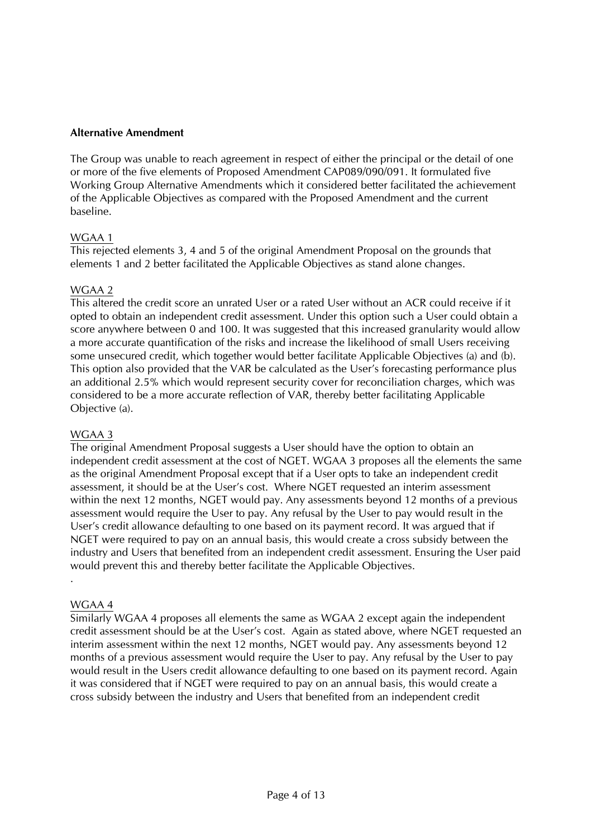### **Alternative Amendment**

The Group was unable to reach agreement in respect of either the principal or the detail of one or more of the five elements of Proposed Amendment CAP089/090/091. It formulated five Working Group Alternative Amendments which it considered better facilitated the achievement of the Applicable Objectives as compared with the Proposed Amendment and the current baseline.

### WGAA 1

This rejected elements 3, 4 and 5 of the original Amendment Proposal on the grounds that elements 1 and 2 better facilitated the Applicable Objectives as stand alone changes.

### WGAA 2

This altered the credit score an unrated User or a rated User without an ACR could receive if it opted to obtain an independent credit assessment. Under this option such a User could obtain a score anywhere between 0 and 100. It was suggested that this increased granularity would allow a more accurate quantification of the risks and increase the likelihood of small Users receiving some unsecured credit, which together would better facilitate Applicable Objectives (a) and (b). This option also provided that the VAR be calculated as the User's forecasting performance plus an additional 2.5% which would represent security cover for reconciliation charges, which was considered to be a more accurate reflection of VAR, thereby better facilitating Applicable Objective (a).

#### WGAA 3

The original Amendment Proposal suggests a User should have the option to obtain an independent credit assessment at the cost of NGET. WGAA 3 proposes all the elements the same as the original Amendment Proposal except that if a User opts to take an independent credit assessment, it should be at the User's cost. Where NGET requested an interim assessment within the next 12 months, NGET would pay. Any assessments beyond 12 months of a previous assessment would require the User to pay. Any refusal by the User to pay would result in the User's credit allowance defaulting to one based on its payment record. It was argued that if NGET were required to pay on an annual basis, this would create a cross subsidy between the industry and Users that benefited from an independent credit assessment. Ensuring the User paid would prevent this and thereby better facilitate the Applicable Objectives.

#### WGAA 4

.

Similarly WGAA 4 proposes all elements the same as WGAA 2 except again the independent credit assessment should be at the User's cost. Again as stated above, where NGET requested an interim assessment within the next 12 months, NGET would pay. Any assessments beyond 12 months of a previous assessment would require the User to pay. Any refusal by the User to pay would result in the Users credit allowance defaulting to one based on its payment record. Again it was considered that if NGET were required to pay on an annual basis, this would create a cross subsidy between the industry and Users that benefited from an independent credit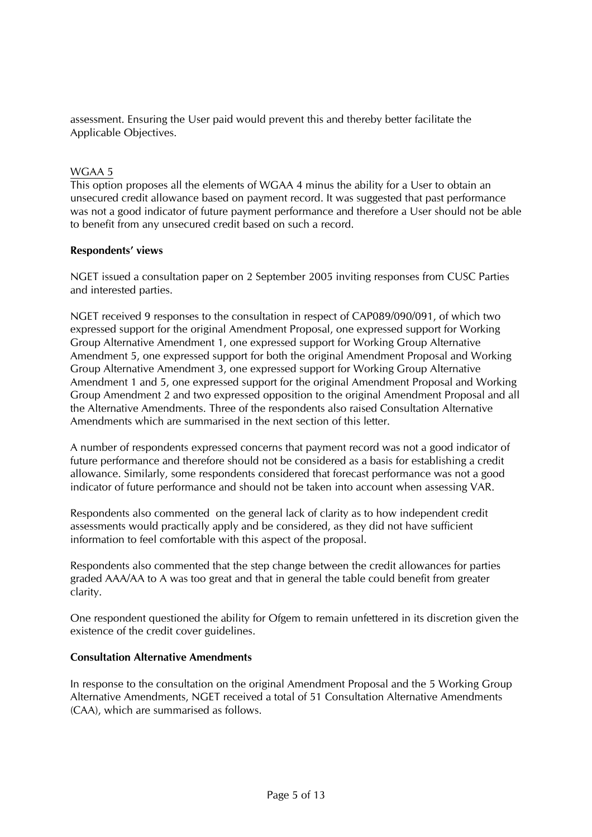assessment. Ensuring the User paid would prevent this and thereby better facilitate the Applicable Objectives.

## WGAA 5

This option proposes all the elements of WGAA 4 minus the ability for a User to obtain an unsecured credit allowance based on payment record. It was suggested that past performance was not a good indicator of future payment performance and therefore a User should not be able to benefit from any unsecured credit based on such a record.

### **Respondents' views**

NGET issued a consultation paper on 2 September 2005 inviting responses from CUSC Parties and interested parties.

NGET received 9 responses to the consultation in respect of CAP089/090/091, of which two expressed support for the original Amendment Proposal, one expressed support for Working Group Alternative Amendment 1, one expressed support for Working Group Alternative Amendment 5, one expressed support for both the original Amendment Proposal and Working Group Alternative Amendment 3, one expressed support for Working Group Alternative Amendment 1 and 5, one expressed support for the original Amendment Proposal and Working Group Amendment 2 and two expressed opposition to the original Amendment Proposal and all the Alternative Amendments. Three of the respondents also raised Consultation Alternative Amendments which are summarised in the next section of this letter.

A number of respondents expressed concerns that payment record was not a good indicator of future performance and therefore should not be considered as a basis for establishing a credit allowance. Similarly, some respondents considered that forecast performance was not a good indicator of future performance and should not be taken into account when assessing VAR.

Respondents also commented on the general lack of clarity as to how independent credit assessments would practically apply and be considered, as they did not have sufficient information to feel comfortable with this aspect of the proposal.

Respondents also commented that the step change between the credit allowances for parties graded AAA/AA to A was too great and that in general the table could benefit from greater clarity.

One respondent questioned the ability for Ofgem to remain unfettered in its discretion given the existence of the credit cover guidelines.

### **Consultation Alternative Amendments**

In response to the consultation on the original Amendment Proposal and the 5 Working Group Alternative Amendments, NGET received a total of 51 Consultation Alternative Amendments (CAA), which are summarised as follows.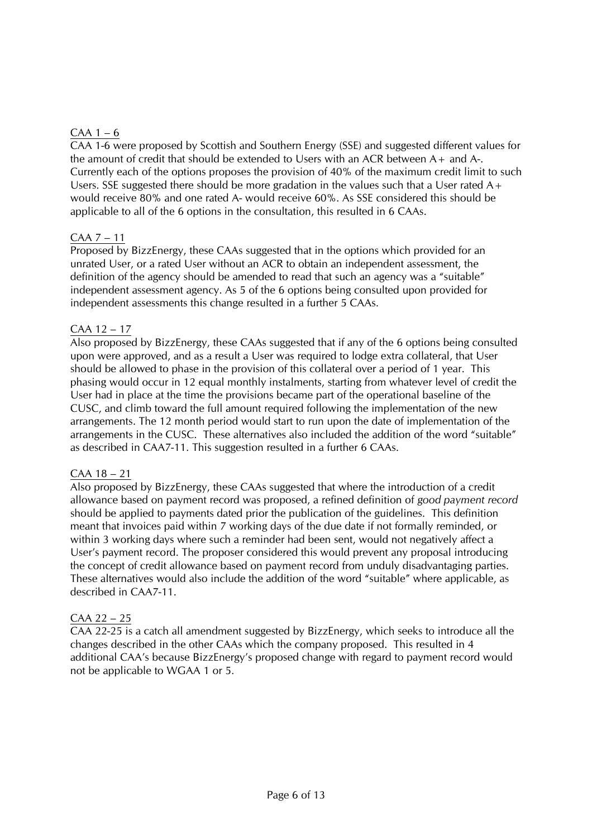# $CAA$  1 – 6

CAA 1-6 were proposed by Scottish and Southern Energy (SSE) and suggested different values for the amount of credit that should be extended to Users with an ACR between  $A_+$  and  $A_+$ . Currently each of the options proposes the provision of 40% of the maximum credit limit to such Users. SSE suggested there should be more gradation in the values such that a User rated A+ would receive 80% and one rated A- would receive 60%. As SSE considered this should be applicable to all of the 6 options in the consultation, this resulted in 6 CAAs.

## CAA 7 – 11

Proposed by BizzEnergy, these CAAs suggested that in the options which provided for an unrated User, or a rated User without an ACR to obtain an independent assessment, the definition of the agency should be amended to read that such an agency was a "suitable" independent assessment agency. As 5 of the 6 options being consulted upon provided for independent assessments this change resulted in a further 5 CAAs.

### CAA 12 – 17

Also proposed by BizzEnergy, these CAAs suggested that if any of the 6 options being consulted upon were approved, and as a result a User was required to lodge extra collateral, that User should be allowed to phase in the provision of this collateral over a period of 1 year. This phasing would occur in 12 equal monthly instalments, starting from whatever level of credit the User had in place at the time the provisions became part of the operational baseline of the CUSC, and climb toward the full amount required following the implementation of the new arrangements. The 12 month period would start to run upon the date of implementation of the arrangements in the CUSC. These alternatives also included the addition of the word "suitable" as described in CAA7-11. This suggestion resulted in a further 6 CAAs.

### CAA 18 – 21

Also proposed by BizzEnergy, these CAAs suggested that where the introduction of a credit allowance based on payment record was proposed, a refined definition of *good payment record*  should be applied to payments dated prior the publication of the guidelines. This definition meant that invoices paid within 7 working days of the due date if not formally reminded, or within 3 working days where such a reminder had been sent, would not negatively affect a User's payment record. The proposer considered this would prevent any proposal introducing the concept of credit allowance based on payment record from unduly disadvantaging parties. These alternatives would also include the addition of the word "suitable" where applicable, as described in CAA7-11.

## CAA 22 – 25

CAA 22-25 is a catch all amendment suggested by BizzEnergy, which seeks to introduce all the changes described in the other CAAs which the company proposed. This resulted in 4 additional CAA's because BizzEnergy's proposed change with regard to payment record would not be applicable to WGAA 1 or 5.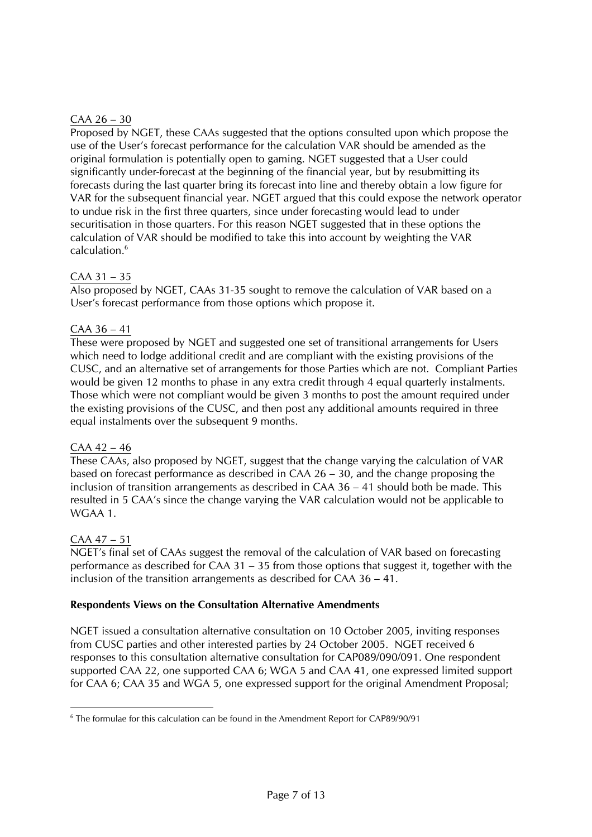## $CAA 26 - 30$

Proposed by NGET, these CAAs suggested that the options consulted upon which propose the use of the User's forecast performance for the calculation VAR should be amended as the original formulation is potentially open to gaming. NGET suggested that a User could significantly under-forecast at the beginning of the financial year, but by resubmitting its forecasts during the last quarter bring its forecast into line and thereby obtain a low figure for VAR for the subsequent financial year. NGET argued that this could expose the network operator to undue risk in the first three quarters, since under forecasting would lead to under securitisation in those quarters. For this reason NGET suggested that in these options the calculation of VAR should be modified to take this into account by weighting the VAR calculation.<sup>6</sup>

### CAA 31 – 35

Also proposed by NGET, CAAs 31-35 sought to remove the calculation of VAR based on a User's forecast performance from those options which propose it.

### CAA 36 – 41

These were proposed by NGET and suggested one set of transitional arrangements for Users which need to lodge additional credit and are compliant with the existing provisions of the CUSC, and an alternative set of arrangements for those Parties which are not. Compliant Parties would be given 12 months to phase in any extra credit through 4 equal quarterly instalments. Those which were not compliant would be given 3 months to post the amount required under the existing provisions of the CUSC, and then post any additional amounts required in three equal instalments over the subsequent 9 months.

### $CAA 42 - 46$

These CAAs, also proposed by NGET, suggest that the change varying the calculation of VAR based on forecast performance as described in CAA 26 – 30, and the change proposing the inclusion of transition arrangements as described in CAA 36 – 41 should both be made. This resulted in 5 CAA's since the change varying the VAR calculation would not be applicable to WGAA 1.

## CAA 47 – 51

NGET's final set of CAAs suggest the removal of the calculation of VAR based on forecasting performance as described for CAA 31 – 35 from those options that suggest it, together with the inclusion of the transition arrangements as described for CAA 36 – 41.

### **Respondents Views on the Consultation Alternative Amendments**

NGET issued a consultation alternative consultation on 10 October 2005, inviting responses from CUSC parties and other interested parties by 24 October 2005. NGET received 6 responses to this consultation alternative consultation for CAP089/090/091. One respondent supported CAA 22, one supported CAA 6; WGA 5 and CAA 41, one expressed limited support for CAA 6; CAA 35 and WGA 5, one expressed support for the original Amendment Proposal;

<span id="page-6-0"></span><sup>-&</sup>lt;br>6 The formulae for this calculation can be found in the Amendment Report for CAP89/90/91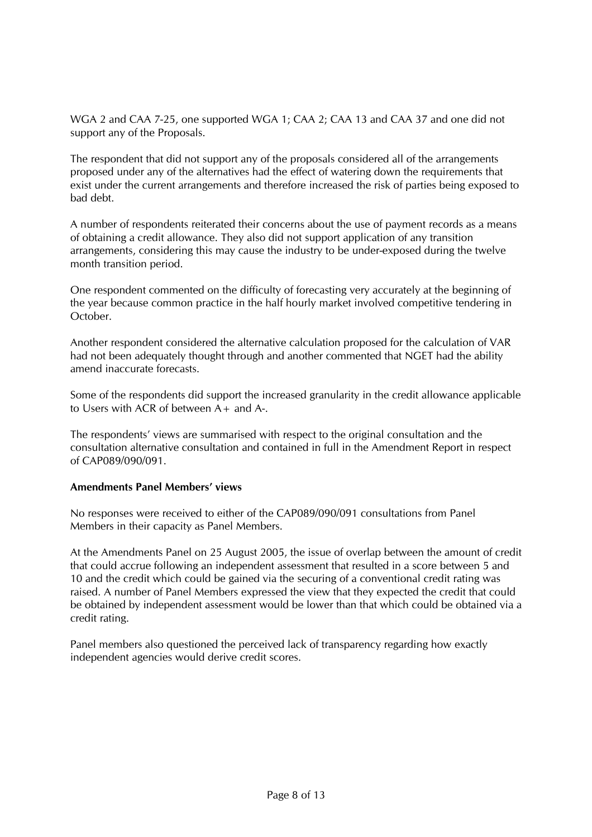WGA 2 and CAA 7-25, one supported WGA 1; CAA 2; CAA 13 and CAA 37 and one did not support any of the Proposals.

The respondent that did not support any of the proposals considered all of the arrangements proposed under any of the alternatives had the effect of watering down the requirements that exist under the current arrangements and therefore increased the risk of parties being exposed to bad debt.

A number of respondents reiterated their concerns about the use of payment records as a means of obtaining a credit allowance. They also did not support application of any transition arrangements, considering this may cause the industry to be under-exposed during the twelve month transition period.

One respondent commented on the difficulty of forecasting very accurately at the beginning of the year because common practice in the half hourly market involved competitive tendering in October.

Another respondent considered the alternative calculation proposed for the calculation of VAR had not been adequately thought through and another commented that NGET had the ability amend inaccurate forecasts.

Some of the respondents did support the increased granularity in the credit allowance applicable to Users with ACR of between A+ and A-.

The respondents' views are summarised with respect to the original consultation and the consultation alternative consultation and contained in full in the Amendment Report in respect of CAP089/090/091.

### **Amendments Panel Members' views**

No responses were received to either of the CAP089/090/091 consultations from Panel Members in their capacity as Panel Members.

At the Amendments Panel on 25 August 2005, the issue of overlap between the amount of credit that could accrue following an independent assessment that resulted in a score between 5 and 10 and the credit which could be gained via the securing of a conventional credit rating was raised. A number of Panel Members expressed the view that they expected the credit that could be obtained by independent assessment would be lower than that which could be obtained via a credit rating.

Panel members also questioned the perceived lack of transparency regarding how exactly independent agencies would derive credit scores.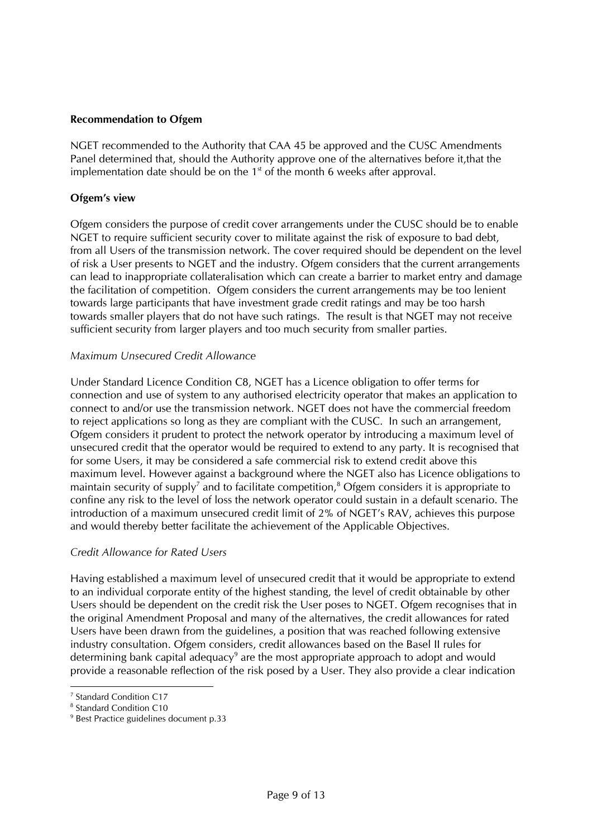### **Recommendation to Ofgem**

NGET recommended to the Authority that CAA 45 be approved and the CUSC Amendments Panel determined that, should the Authority approve one of the alternatives before it,that the implementation date should be on the  $1<sup>st</sup>$  of the month 6 weeks after approval.

### **Ofgem's view**

Ofgem considers the purpose of credit cover arrangements under the CUSC should be to enable NGET to require sufficient security cover to militate against the risk of exposure to bad debt, from all Users of the transmission network. The cover required should be dependent on the level of risk a User presents to NGET and the industry. Ofgem considers that the current arrangements can lead to inappropriate collateralisation which can create a barrier to market entry and damage the facilitation of competition. Ofgem considers the current arrangements may be too lenient towards large participants that have investment grade credit ratings and may be too harsh towards smaller players that do not have such ratings. The result is that NGET may not receive sufficient security from larger players and too much security from smaller parties.

### *Maximum Unsecured Credit Allowance*

Under Standard Licence Condition C8, NGET has a Licence obligation to offer terms for connection and use of system to any authorised electricity operator that makes an application to connect to and/or use the transmission network. NGET does not have the commercial freedom to reject applications so long as they are compliant with the CUSC. In such an arrangement, Ofgem considers it prudent to protect the network operator by introducing a maximum level of unsecured credit that the operator would be required to extend to any party. It is recognised that for some Users, it may be considered a safe commercial risk to extend credit above this maximum level. However against a background where the NGET also has Licence obligations to maintain security of supply<sup>7</sup> and to facilitate competition,<sup>[8](#page-8-1)</sup> Ofgem considers it is appropriate to confine any risk to the level of loss the network operator could sustain in a default scenario. The introduction of a maximum unsecured credit limit of 2% of NGET's RAV, achieves this purpose and would thereby better facilitate the achievement of the Applicable Objectives.

### *Credit Allowance for Rated Users*

Having established a maximum level of unsecured credit that it would be appropriate to extend to an individual corporate entity of the highest standing, the level of credit obtainable by other Users should be dependent on the credit risk the User poses to NGET. Ofgem recognises that in the original Amendment Proposal and many of the alternatives, the credit allowances for rated Users have been drawn from the guidelines, a position that was reached following extensive industry consultation. Ofgem considers, credit allowances based on the Basel II rules for determining bank capital adequacy<sup>[9](#page-8-2)</sup> are the most appropriate approach to adopt and would provide a reasonable reflection of the risk posed by a User. They also provide a clear indication

<span id="page-8-0"></span> $\frac{1}{7}$ <sup>7</sup> Standard Condition C17

<span id="page-8-1"></span><sup>&</sup>lt;sup>8</sup> Standard Condition C10

<span id="page-8-2"></span><sup>&</sup>lt;sup>9</sup> Best Practice guidelines document p.33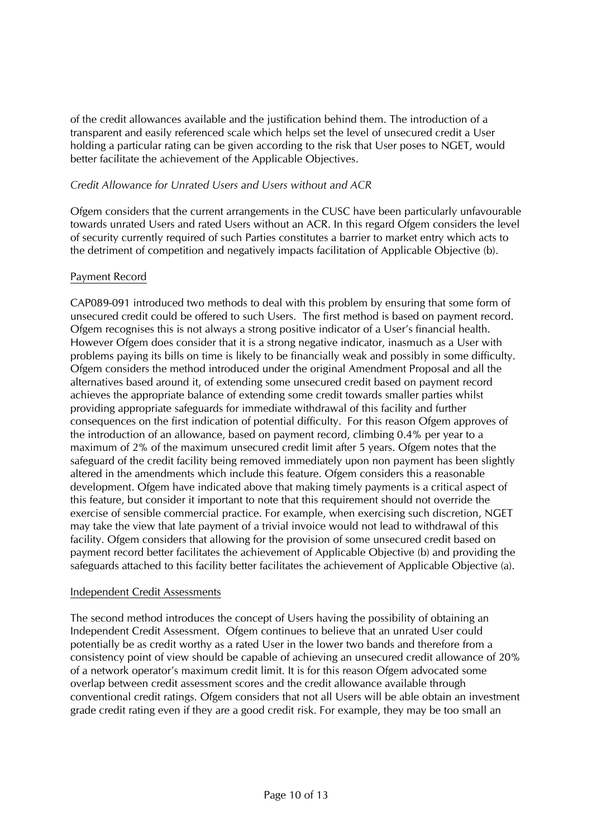of the credit allowances available and the justification behind them. The introduction of a transparent and easily referenced scale which helps set the level of unsecured credit a User holding a particular rating can be given according to the risk that User poses to NGET, would better facilitate the achievement of the Applicable Objectives.

## *Credit Allowance for Unrated Users and Users without and ACR*

Ofgem considers that the current arrangements in the CUSC have been particularly unfavourable towards unrated Users and rated Users without an ACR. In this regard Ofgem considers the level of security currently required of such Parties constitutes a barrier to market entry which acts to the detriment of competition and negatively impacts facilitation of Applicable Objective (b).

### Payment Record

CAP089-091 introduced two methods to deal with this problem by ensuring that some form of unsecured credit could be offered to such Users. The first method is based on payment record. Ofgem recognises this is not always a strong positive indicator of a User's financial health. However Ofgem does consider that it is a strong negative indicator, inasmuch as a User with problems paying its bills on time is likely to be financially weak and possibly in some difficulty. Ofgem considers the method introduced under the original Amendment Proposal and all the alternatives based around it, of extending some unsecured credit based on payment record achieves the appropriate balance of extending some credit towards smaller parties whilst providing appropriate safeguards for immediate withdrawal of this facility and further consequences on the first indication of potential difficulty. For this reason Ofgem approves of the introduction of an allowance, based on payment record, climbing 0.4% per year to a maximum of 2% of the maximum unsecured credit limit after 5 years. Ofgem notes that the safeguard of the credit facility being removed immediately upon non payment has been slightly altered in the amendments which include this feature. Ofgem considers this a reasonable development. Ofgem have indicated above that making timely payments is a critical aspect of this feature, but consider it important to note that this requirement should not override the exercise of sensible commercial practice. For example, when exercising such discretion, NGET may take the view that late payment of a trivial invoice would not lead to withdrawal of this facility. Ofgem considers that allowing for the provision of some unsecured credit based on payment record better facilitates the achievement of Applicable Objective (b) and providing the safeguards attached to this facility better facilitates the achievement of Applicable Objective (a).

### Independent Credit Assessments

The second method introduces the concept of Users having the possibility of obtaining an Independent Credit Assessment. Ofgem continues to believe that an unrated User could potentially be as credit worthy as a rated User in the lower two bands and therefore from a consistency point of view should be capable of achieving an unsecured credit allowance of 20% of a network operator's maximum credit limit. It is for this reason Ofgem advocated some overlap between credit assessment scores and the credit allowance available through conventional credit ratings. Ofgem considers that not all Users will be able obtain an investment grade credit rating even if they are a good credit risk. For example, they may be too small an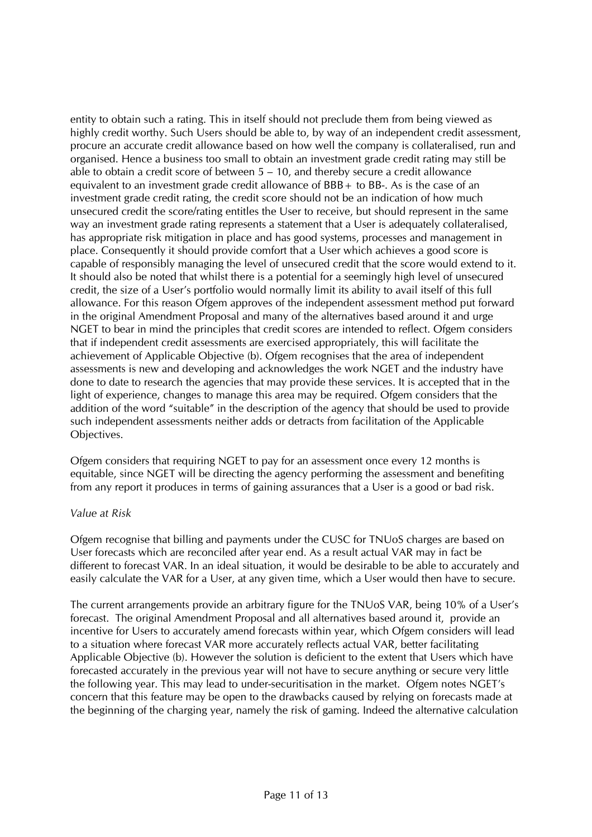entity to obtain such a rating. This in itself should not preclude them from being viewed as highly credit worthy. Such Users should be able to, by way of an independent credit assessment, procure an accurate credit allowance based on how well the company is collateralised, run and organised. Hence a business too small to obtain an investment grade credit rating may still be able to obtain a credit score of between  $5 - 10$ , and thereby secure a credit allowance equivalent to an investment grade credit allowance of BBB+ to BB-. As is the case of an investment grade credit rating, the credit score should not be an indication of how much unsecured credit the score/rating entitles the User to receive, but should represent in the same way an investment grade rating represents a statement that a User is adequately collateralised, has appropriate risk mitigation in place and has good systems, processes and management in place. Consequently it should provide comfort that a User which achieves a good score is capable of responsibly managing the level of unsecured credit that the score would extend to it. It should also be noted that whilst there is a potential for a seemingly high level of unsecured credit, the size of a User's portfolio would normally limit its ability to avail itself of this full allowance. For this reason Ofgem approves of the independent assessment method put forward in the original Amendment Proposal and many of the alternatives based around it and urge NGET to bear in mind the principles that credit scores are intended to reflect. Ofgem considers that if independent credit assessments are exercised appropriately, this will facilitate the achievement of Applicable Objective (b). Ofgem recognises that the area of independent assessments is new and developing and acknowledges the work NGET and the industry have done to date to research the agencies that may provide these services. It is accepted that in the light of experience, changes to manage this area may be required. Ofgem considers that the addition of the word "suitable" in the description of the agency that should be used to provide such independent assessments neither adds or detracts from facilitation of the Applicable Objectives.

Ofgem considers that requiring NGET to pay for an assessment once every 12 months is equitable, since NGET will be directing the agency performing the assessment and benefiting from any report it produces in terms of gaining assurances that a User is a good or bad risk.

### *Value at Risk*

Ofgem recognise that billing and payments under the CUSC for TNUoS charges are based on User forecasts which are reconciled after year end. As a result actual VAR may in fact be different to forecast VAR. In an ideal situation, it would be desirable to be able to accurately and easily calculate the VAR for a User, at any given time, which a User would then have to secure.

The current arrangements provide an arbitrary figure for the TNUoS VAR, being 10% of a User's forecast. The original Amendment Proposal and all alternatives based around it, provide an incentive for Users to accurately amend forecasts within year, which Ofgem considers will lead to a situation where forecast VAR more accurately reflects actual VAR, better facilitating Applicable Objective (b). However the solution is deficient to the extent that Users which have forecasted accurately in the previous year will not have to secure anything or secure very little the following year. This may lead to under-securitisation in the market. Ofgem notes NGET's concern that this feature may be open to the drawbacks caused by relying on forecasts made at the beginning of the charging year, namely the risk of gaming. Indeed the alternative calculation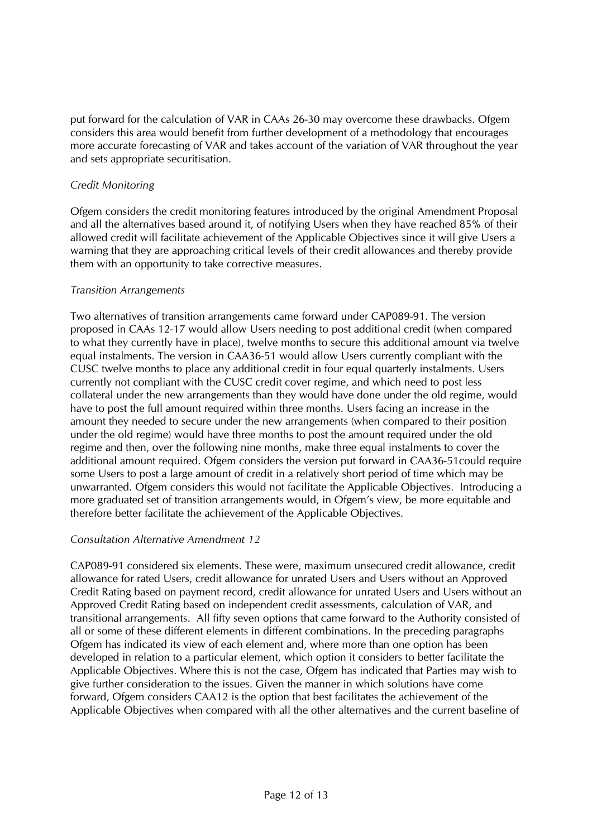put forward for the calculation of VAR in CAAs 26-30 may overcome these drawbacks. Ofgem considers this area would benefit from further development of a methodology that encourages more accurate forecasting of VAR and takes account of the variation of VAR throughout the year and sets appropriate securitisation.

## *Credit Monitoring*

Ofgem considers the credit monitoring features introduced by the original Amendment Proposal and all the alternatives based around it, of notifying Users when they have reached 85% of their allowed credit will facilitate achievement of the Applicable Objectives since it will give Users a warning that they are approaching critical levels of their credit allowances and thereby provide them with an opportunity to take corrective measures.

### *Transition Arrangements*

Two alternatives of transition arrangements came forward under CAP089-91. The version proposed in CAAs 12-17 would allow Users needing to post additional credit (when compared to what they currently have in place), twelve months to secure this additional amount via twelve equal instalments. The version in CAA36-51 would allow Users currently compliant with the CUSC twelve months to place any additional credit in four equal quarterly instalments. Users currently not compliant with the CUSC credit cover regime, and which need to post less collateral under the new arrangements than they would have done under the old regime, would have to post the full amount required within three months. Users facing an increase in the amount they needed to secure under the new arrangements (when compared to their position under the old regime) would have three months to post the amount required under the old regime and then, over the following nine months, make three equal instalments to cover the additional amount required. Ofgem considers the version put forward in CAA36-51could require some Users to post a large amount of credit in a relatively short period of time which may be unwarranted. Ofgem considers this would not facilitate the Applicable Objectives. Introducing a more graduated set of transition arrangements would, in Ofgem's view, be more equitable and therefore better facilitate the achievement of the Applicable Objectives.

## *Consultation Alternative Amendment 12*

CAP089-91 considered six elements. These were, maximum unsecured credit allowance, credit allowance for rated Users, credit allowance for unrated Users and Users without an Approved Credit Rating based on payment record, credit allowance for unrated Users and Users without an Approved Credit Rating based on independent credit assessments, calculation of VAR, and transitional arrangements. All fifty seven options that came forward to the Authority consisted of all or some of these different elements in different combinations. In the preceding paragraphs Ofgem has indicated its view of each element and, where more than one option has been developed in relation to a particular element, which option it considers to better facilitate the Applicable Objectives. Where this is not the case, Ofgem has indicated that Parties may wish to give further consideration to the issues. Given the manner in which solutions have come forward, Ofgem considers CAA12 is the option that best facilitates the achievement of the Applicable Objectives when compared with all the other alternatives and the current baseline of